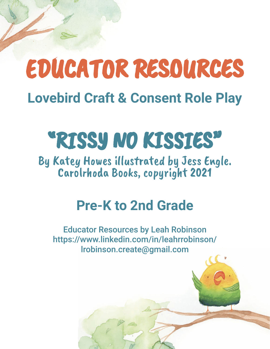# EDUCATOR RESOURCES **Lovebird Craft & Consent Role Play**

# "RISSY NO KISSIES"

By Katey Howes illustrated by Jess Engle. Carolrhoda Books, copyright 2021

### **Pre-K to 2nd Grade**

Educator Resources by Leah Robinson https://www.linkedin.com/in/leahrrobinson/ lrobinson.create@gmail.com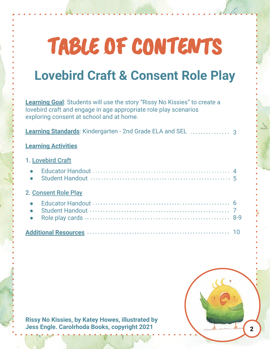# TABLE OF CONTENTS

### **Lovebird Craft & Consent Role Play**

**Learning Goal**: Students will use the story "Rissy No Kissies" to create a lovebird craft and engage in age appropriate role play scenarios exploring consent at school and at home.

**Learning Standards**: Kindergarten - 2nd Grade ELA and SEL 3

#### **Learning Activities**

#### 1. Lovebird Craft

|                   | • Student Handout $\cdots$ $\cdots$ $\cdots$ $\cdots$ $\cdots$ $\cdots$ $\cdots$ $\cdots$ $\cdots$ $\cdots$ $\cdots$ |  |  |  |  |  |  |  |
|-------------------|----------------------------------------------------------------------------------------------------------------------|--|--|--|--|--|--|--|
| Concept Dole Dlay |                                                                                                                      |  |  |  |  |  |  |  |

#### <u>Consent Role Play</u>

| Student Handout (1998) Student Handout (1997) |  |
|-----------------------------------------------|--|
|                                               |  |

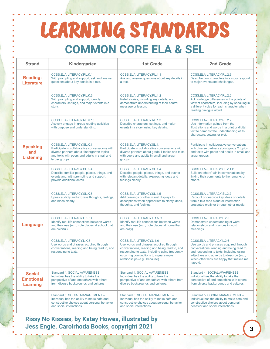### LEARNING STANDARDS **COMMON CORE ELA & SEL**

| <b>Strand</b>                                        | Kindergarten                                                                                                                                                                                | <b>1st Grade</b>                                                                                                                                                                                                                                   | 2nd Grade                                                                                                                                                                                                                                                     |
|------------------------------------------------------|---------------------------------------------------------------------------------------------------------------------------------------------------------------------------------------------|----------------------------------------------------------------------------------------------------------------------------------------------------------------------------------------------------------------------------------------------------|---------------------------------------------------------------------------------------------------------------------------------------------------------------------------------------------------------------------------------------------------------------|
| <b>Reading:</b><br><b>Literature</b>                 | CCSS.ELA-LITERACY.RL.K.1<br>With prompting and support, ask and answer<br>questions about key details in a text.                                                                            | CCSS.ELA-LITERACY.RL.1.1<br>Ask and answer questions about key details in<br>a text.                                                                                                                                                               | CCSS.ELA-LITERACY.RL.2.3<br>Describe how characters in a story respond<br>to major events and challenges.                                                                                                                                                     |
|                                                      | CCSS.ELA-LITERACY.RL.K.3<br>With prompting and support, identify<br>characters, settings, and major events in a<br>story.                                                                   | CCSS.ELA-LITERACY.RL.1.2<br>Retell stories, including key details, and<br>demonstrate understanding of their central<br>message or lesson.                                                                                                         | CCSS.ELA-LITERACY.RL.2.6<br>Acknowledge differences in the points of<br>view of characters, including by speaking in<br>a different voice for each character when<br>reading dialogue aloud.                                                                  |
|                                                      | CCSS.ELA-LITERACY.RL.K.10<br>Actively engage in group reading activities<br>with purpose and understanding.                                                                                 | CCSS.ELA-LITERACY.RL.1.3<br>Describe characters, settings, and major<br>events in a story, using key details.                                                                                                                                      | CCSS.ELA-LITERACY.RL.2.7<br>Use information gained from the<br>illustrations and words in a print or digital<br>text to demonstrate understanding of its<br>characters, setting, or plot.                                                                     |
| <b>Speaking</b><br>and<br><b>Listening</b>           | CCSS.ELA-LITERACY.SL.K.1<br>Participate in collaborative conversations with<br>diverse partners about kindergarten topics<br>and texts with peers and adults in small and<br>larger groups. | CCSS.ELA-LITERACY.SL.1.1<br>Participate in collaborative conversations with<br>diverse partners about grade 1 topics and texts<br>with peers and adults in small and larger<br>groups.                                                             | Participate in collaborative conversations<br>with diverse partners about grade 2 topics<br>and texts with peers and adults in small and<br>larger groups.                                                                                                    |
|                                                      | CCSS.ELA-LITERACY.SL.K.4<br>Describe familiar people, places, things, and<br>events and, with prompting and support,<br>provide additional detail.                                          | CCSS.ELA-LITERACY.SL.1.4<br>Describe people, places, things, and events<br>with relevant details, expressing ideas and<br>feelings clearly.                                                                                                        | CCSS.ELA-LITERACY.SL.2.1.B<br>Build on others' talk in conversations by<br>linking their comments to the remarks of<br>others.                                                                                                                                |
|                                                      | CCSS.ELA-LITERACY.SL.K.6<br>Speak audibly and express thoughts, feelings,<br>and ideas clearly.                                                                                             | CCSS.ELA-LITERACY.SL.1.5<br>Add drawings or other visual displays to<br>descriptions when appropriate to clarify ideas,<br>thoughts, and feelings.                                                                                                 | CCSS.ELA-LITERACY.SL.2.2<br>Recount or describe key ideas or details<br>from a text read aloud or information<br>presented orally or through other media.                                                                                                     |
| <b>Language</b>                                      | CCSS.ELA-LITERACY.L.K.5.C<br>Identify real-life connections between words<br>and their use (e.g., note places at school that<br>are colorful).                                              | CCSS.ELA-LITERACY.L.1.5.C<br>Identify real-life connections between words<br>and their use (e.g., note places at home that<br>are cozy).                                                                                                           | CCSS.ELA-LITERACY.L.2.5<br>Demonstrate understanding of word<br>relationships and nuances in word<br>meanings.                                                                                                                                                |
|                                                      | CCSS.ELA-LITERACY.L.K.6<br>Use words and phrases acquired through<br>conversations, reading and being read to, and<br>responding to texts.                                                  | CCSS.ELA-LITERACY.L.1.6<br>Use words and phrases acquired through<br>conversations, reading and being read to, and<br>responding to texts, including using frequently<br>occurring conjunctions to signal simple<br>relationships (e.g., because). | CCSS.ELA-LITERACY.L.2.6<br>Use words and phrases acquired through<br>conversations, reading and being read to,<br>and responding to texts, including using<br>adjectives and adverbs to describe (e.g.,<br>When other kids are happy that makes me<br>happy). |
| <b>Social</b><br><b>Emotional</b><br><b>Learning</b> | Standard 4. SOCIAL AWARENESS -<br>Individual has the ability to take the<br>perspective of and empathize with others<br>from diverse backgrounds and cultures.                              | Standard 4. SOCIAL AWARENESS -<br>Individual has the ability to take the<br>perspective of and empathize with others from<br>diverse backgrounds and cultures.                                                                                     | Standard 4. SOCIAL AWARENESS -<br>Individual has the ability to take the<br>perspective of and empathize with others<br>from diverse backgrounds and cultures.                                                                                                |
|                                                      | Standard 5. SOCIAL MANAGEMENT -<br>Individual has the ability to make safe and<br>constructive choices about personal behavior<br>and social interactions.                                  | Standard 5. SOCIAL MANAGEMENT -<br>Individual has the ability to make safe and<br>constructive choices about personal behavior<br>and social interactions.                                                                                         | Standard 5, SOCIAL MANAGEMENT -<br>Individual has the ability to make safe and<br>constructive choices about personal<br>behavior and social interactions.                                                                                                    |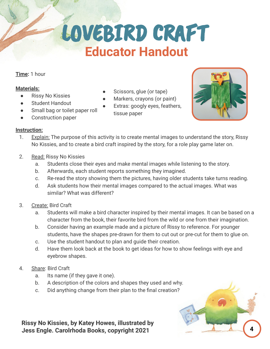## LOVEBIRD CRAFT  **Educator Handout**

Scissors, glue (or tape) Markers, crayons (or paint) Extras: googly eyes, feathers,

#### **Time:** 1 hour

#### **Materials:**

- Rissy No Kissies
- **Student Handout**
- Small bag or toilet paper roll
- Construction paper

#### **Instruction:**

1. Explain: The purpose of this activity is to create mental images to understand the story, Rissy No Kissies, and to create a bird craft inspired by the story, for a role play game later on.

tissue paper

- 2. Read: Rissy No Kissies
	- a. Students close their eyes and make mental images while listening to the story.
	- b. Afterwards, each student reports something they imagined.
	- c. Re-read the story showing them the pictures, having older students take turns reading.
	- d. Ask students how their mental images compared to the actual images. What was similar? What was different?
- 3. Create: Bird Craft
	- a. Students will make a bird character inspired by their mental images. It can be based on a character from the book, their favorite bird from the wild or one from their imagination.
	- b. Consider having an example made and a picture of Rissy to reference. For younger students, have the shapes pre-drawn for them to cut out or pre-cut for them to glue on.
	- c. Use the student handout to plan and guide their creation.
	- d. Have them look back at the book to get ideas for how to show feelings with eye and eyebrow shapes.
- 4. Share: Bird Craft
	- a. Its name (if they gave it one).
	- b. A description of the colors and shapes they used and why.
	- c. Did anything change from their plan to the final creation?

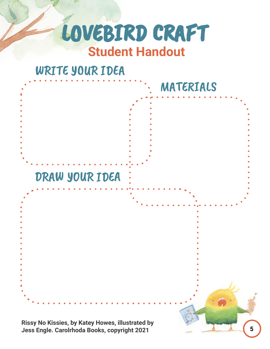### LOVEBIRD CRAFT  **Student Handout**

### WRITE YOUR IDEA

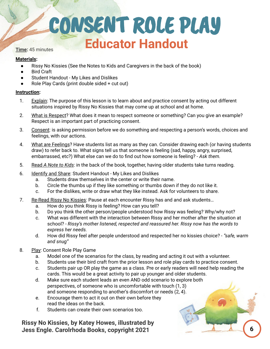### CONSENT ROLE PLAY  **Educator Handout**

#### **Materials:**

- Rissy No Kissies (See the Notes to Kids and Caregivers in the back of the book)
- Bird Craft
- Student Handout My Likes and Dislikes
- Role Play Cards (print double sided  $+$  cut out)

#### **Instruction:**

- 1. Explain: The purpose of this lesson is to learn about and practice consent by acting out different situations inspired by Rissy No Kissies that may come up at school and at home.
- 2. What is Respect? What does it mean to respect someone or something? Can you give an example? Respect is an important part of practicing consent.
- 3. Consent: is asking permission before we do something and respecting a person's words, choices and feelings, with our actions.
- 4. What are Feelings? Have students list as many as they can. Consider drawing each (or having students draw) to refer back to. What signs tell us that someone is feeling (sad, happy, angry, surprised, embarrassed, etc?) What else can we do to find out how someone is feeling? - *Ask them.*
- 5. Read *A Note to Kids*: in the back of the book, together, having older students take turns reading.
- 6. Identify and Share: Student Handout My Likes and Dislikes
	- a. Students draw themselves in the center or write their name.
	- b. Circle the thumbs up if they like something or thumbs down if they do not like it.
	- c. For the dislikes, write or draw what they like instead. Ask for volunteers to share.
- 7. Re-Read Rissy No Kissies: Pause at each encounter Rissy has and and ask students…
	- a. How do you think Rissy is feeling? How can you tell?
	- b. Do you think the other person/people understood how Rissy was feeling? Why/why not?
	- c. What was different with the interaction between Rissy and her mother after the situation at school? - *Rissy's mother listened, respected and reassured her. Rissy now has the words to express her needs.*
	- d. How did Rissy feel after people understood and respected her no kissies choice? *"safe, warm and snug"*
- 8. Play: Consent Role Play Game
	- a. Model one of the scenarios for the class, by reading and acting it out with a volunteer.
	- b. Students use their bird craft from the prior lesson and role play cards to practice consent.
	- c. Students pair up OR play the game as a class. Pre or early readers will need help reading the cards. This would be a great activity to pair up younger and older students.
	- d. Make sure each student leads an even AND odd scenario to explore both perspectives, of someone who is uncomfortable with touch (1, 3) and someone responding to another's discomfort or needs (2, 4).
	- e. Encourage them to act it out on their own before they read the ideas on the back.
	- f. Students can create their own scenarios too.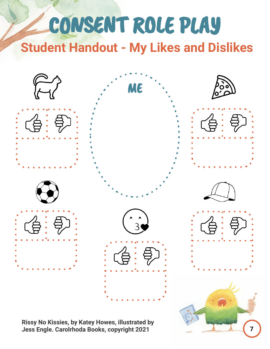## CONSENT ROLE PLAY  **Student Handout - My Likes and Dislikes**



**7**

 **Jess Engle. Carolrhoda Books, copyright 2021**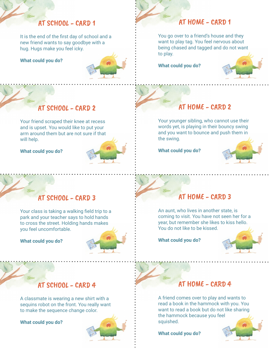#### AT SCHOOL - CARD 1

It is the end of the first day of school and a new friend wants to say goodbye with a hug. Hugs make you feel icky.

**What could you do?** 



### AT HOME - CARD 1

You go over to a friend's house and they want to play tag. You feel nervous about being chased and tagged and do not want to play.

**What could you do?** 



#### AT SCHOOL - CARD 2

Your friend scraped their knee at recess and is upset. You would like to put your arm around them but are not sure if that will help.

**What could you do?** 



### $AT HOME - CAPD 2$

Your younger sibling, who cannot use their words yet, is playing in their bouncy swing and you want to bounce and push them in the swing.

**What could you do?** 



#### AT SCHOOL - CARD 3

Your class is taking a walking field trip to a park and your teacher says to hold hands to cross the street. Holding hands makes you feel uncomfortable.

**What could you do?** 



#### $AT HOME - CAPD 3$

An aunt, who lives in another state, is coming to visit. You have not seen her for a year, but remember she likes to kiss hello. You do not like to be kissed.

**What could you do?**



#### AT SCHOOL - CARD 4

A classmate is wearing a new shirt with a sequins robot on the front. You really want to make the sequence change color.

**What could you do?** 



#### $AT HOME - CAPD 4$

A friend comes over to play and wants to read a book in the hammock with you. You want to read a book but do not like sharing the hammock because you feel squished.

**What could you do?**

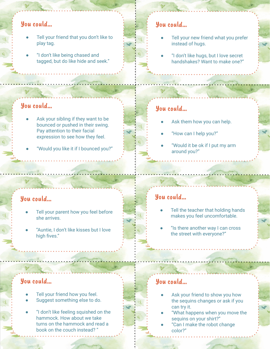#### You could...

- Tell your friend that you don't like to play tag.
- "I don't like being chased and tagged, but do like hide and seek."

#### You could...

- Ask your sibling if they want to be bounced or pushed in their swing. Pay attention to their facial expression to see how they feel.
- "Would you like it if I bounced you?"

#### You could...

- Tell your parent how you feel before she arrives.
- "Auntie, I don't like kisses but I love high fives."

#### You could...

- Tell your friend how you feel.
- Suggest something else to do.
- "I don't like feeling squished on the hammock. How about we take turns on the hammock and read a book on the couch instead? "

#### You could...

- Tell your new friend what you prefer instead of hugs.
- "I don't like hugs, but I love secret handshakes? Want to make one?"

### You could...

- Ask them how you can help.
- "How can I help you?"
- "Would it be ok if I put my arm around you?"

#### You could...

- Tell the teacher that holding hands makes you feel uncomfortable.
- "Is there another way I can cross the street with everyone?"

### You could...

- Ask your friend to show you how the sequins changes or ask if you can try it.
- "What happens when you move the sequins on your shirt?"
- "Can I make the robot change color?"